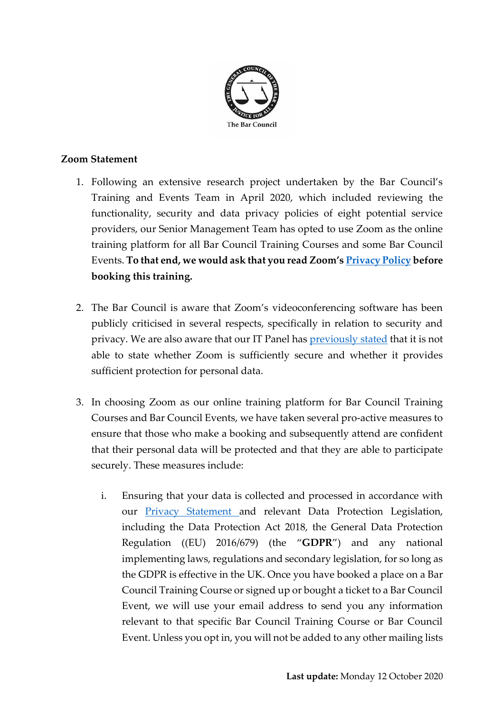

## **Zoom Statement**

- 1. Following an extensive research project undertaken by the Bar Council's Training and Events Team in April 2020, which included reviewing the functionality, security and data privacy policies of eight potential service providers, our Senior Management Team has opted to use Zoom as the online training platform for all Bar Council Training Courses and some Bar Council Events. **To that end, we would ask that you read Zoom's [Privacy Policy](https://zoom.us/privacy) before booking this training.**
- 2. The Bar Council is aware that Zoom's videoconferencing software has been publicly criticised in several respects, specifically in relation to security and privacy. We are also aware that our IT Panel has [previously stated](https://www.barcouncilethics.co.uk/wp-content/uploads/2020/04/Video-conferencing-and-data-protection-FINAL.pdf) that it is not able to state whether Zoom is sufficiently secure and whether it provides sufficient protection for personal data.
- 3. In choosing Zoom as our online training platform for Bar Council Training Courses and Bar Council Events, we have taken several pro-active measures to ensure that those who make a booking and subsequently attend are confident that their personal data will be protected and that they are able to participate securely. These measures include:
	- i. Ensuring that your data is collected and processed in accordance with our [Privacy Statement a](http://www.barcouncil.org.uk/privacy-statement/)nd relevant Data Protection Legislation, including the Data Protection Act 2018, the General Data Protection Regulation ((EU) 2016/679) (the "**GDPR**") and any national implementing laws, regulations and secondary legislation, for so long as the GDPR is effective in the UK. Once you have booked a place on a Bar Council Training Course or signed up or bought a ticket to a Bar Council Event, we will use your email address to send you any information relevant to that specific Bar Council Training Course or Bar Council Event. Unless you opt in, you will not be added to any other mailing lists